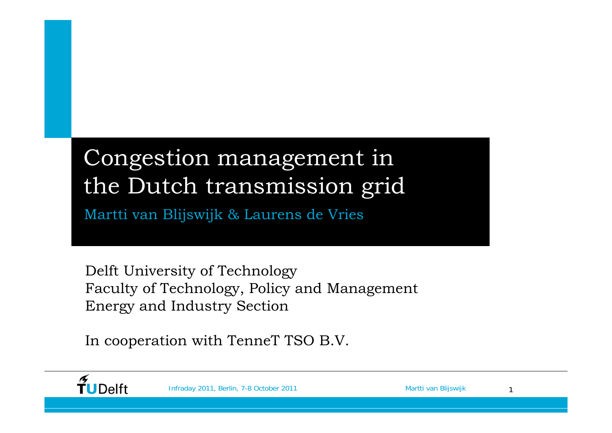#### Congestion management in the Dutch transmission grid Martti van Blijswijk & Laurens de Vries

Delft University of Technology Faculty of Technology, Policy and Management Energy and Industry Section

In cooperation with TenneT TSO B.V.



Infraday 2011, Berlin, 7-8 October 2011 Martti van Blijswijk 1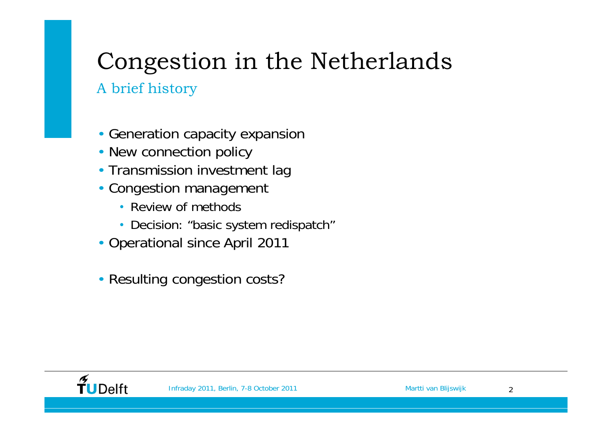# Congestion in the Netherlands

#### A brief history

- Generation capacity expansion
- New connection policy
- Transmission investment lag
- Congestion management
	- Review of methods
	- Decision: "basic system redispatch"
- Operational since April 2011
- Resulting congestion costs?

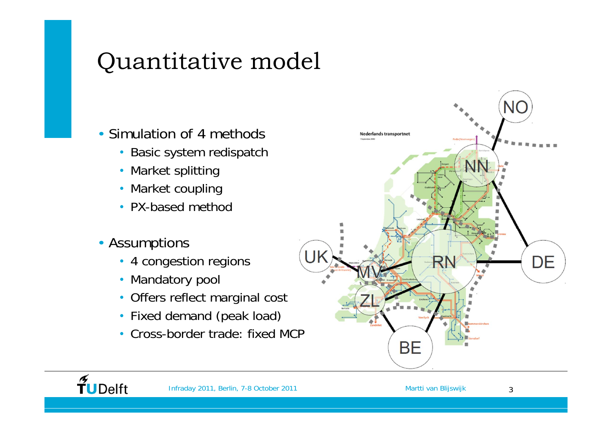# Quantitative model

- Simulation of 4 methods
	- Basic system redispatch
	- Market splitting
	- Market coupling
	- PX-based method
- Assumptions

 $\widetilde{\mathbf{T}}$ UDelft

- 4 congestion regions
- Mandatory pool
- Offers reflect marginal cost
- Fixed demand (peak load)
- Cross-border trade: fixed MCP

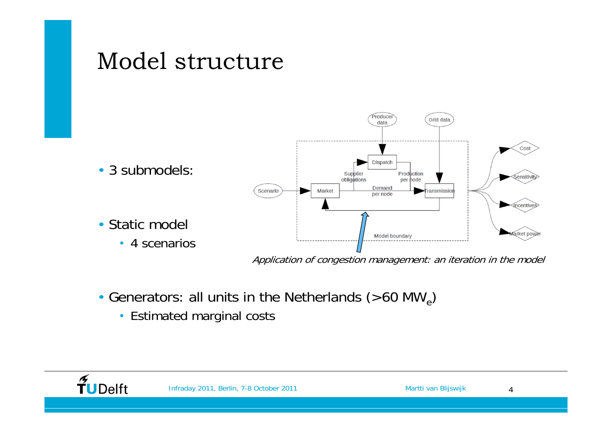

- Generators: all units in the Netherlands (>60 MW<sub>e</sub>)
	- Estimated marginal costs



4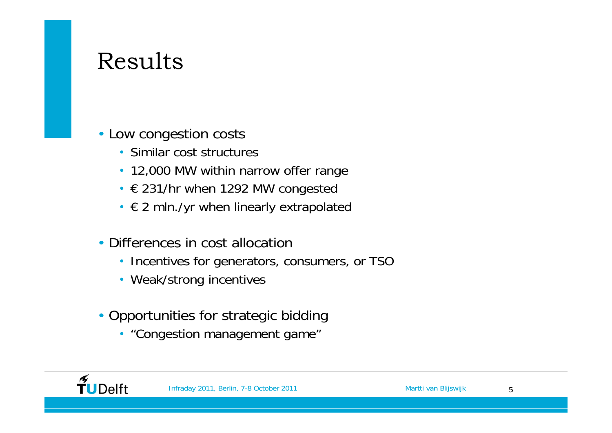#### Results

- Low congestion costs
	- Similar cost structures
	- 12,000 MW within narrow offer range
	- € 231/hr when 1292 MW congested
	- $\epsilon$  2 mln./yr when linearly extrapolated
- Differences in cost allocation
	- Incentives for generators, consumers, or TSO
	- Weak/strong incentives
- Opportunities for strategic bidding
	- "Congestion management game"

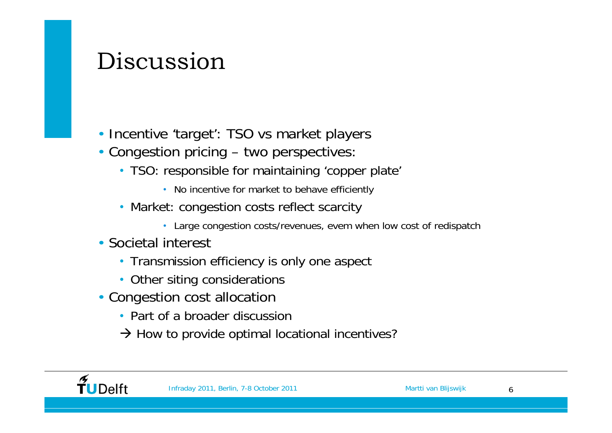### Discussion

- Incentive 'target': TSO vs market players
- Congestion pricing two perspectives:
	- TSO: responsible for maintaining 'copper plate'
		- No incentive for market to behave efficiently
	- Market: congestion costs reflect scarcity
		- Large congestion costs/revenues, evem when low cost of redispatch
- Societal interest
	- Transmission efficiency is only one aspect
	- Other siting considerations
- Congestion cost allocation
	- Part of a broader discussion
	- $\rightarrow$  How to provide optimal locational incentives?